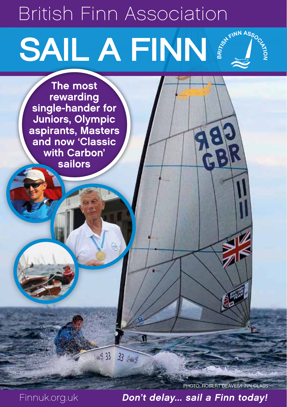# SAIL A FINN E SURVICE British Finn Association

The most rewarding single-hander for Juniors, Olympic aspirants, Masters and now 'Classic with Carbon' sailors

PHOTO: ROBERT DEAVES/FINN CLASS

Finnuk.org.uk Don't delay... sail a Finn today!

П

105 33 33 Aug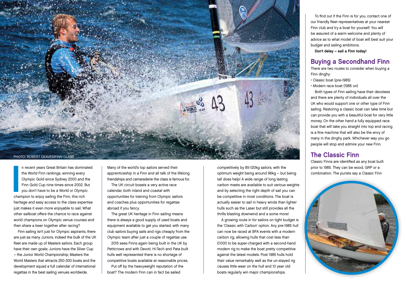

**I**<br>I<br>I<br>Chai n recent years Great Britain has dominated the World Finn rankings, winning every Olympic Gold since Sydney 2000 and the Finn Gold Cup nine times since 2002. But you don't have to be a World or Olympic champion to enjoy sailing the Finn, this rich heritage and easy access to the class expertise just makes it even more enjoyable to sail. What other sailboat offers the chance to race against world champions on Olympic venue courses and then share a beer together after racing?

Finn sailing isn't just for Olympic aspirants, there are just as many Juniors, indeed the bulk of the UK fleet are made up of Masters sailors. Each group have their own goals; Juniors have the Silver Cup – the Junior World Championship, Masters the World Masters that attracts 250-300 boats and the development squad a full calendar of international regattas in the best sailing venues worldwide.

Many of the world's top sailors served their apprenticeship in a Finn and all talk of the lifelong friendships and camaraderie the class is famous for. The UK circuit boasts a very active race

calendar, both inland and coastal with opportunities for training from Olympic sailors and coaches plus opportunities for regattas abroad if you fancy.

The great UK heritage in Finn sailing means there is always a good supply of used boats and equipment available to get you started, with many club sailors buying sails and rigs cheaply from the Olympic team after just a couple of regattas use.

2015 sees Finns again being built in the UK by Petticrows and with Devoti, Hi-Tech and Pata built hulls well represented there is no shortage of competitive boats available at reasonable prices. Put off by the heavyweight reputation of the boat? The modern Finn can in fact be sailed

competitively by 85-120kg sailors, with the optimum weight being around 96kg – but being tall does help! A wide range of long lasting carbon masts are available to suit various weights and by selecting the right depth of sail you can be competitive in most conditions. The boat is actually easier to sail in heavy winds than lighter hulls such as the Laser but still provides all the thrills blasting downwind and a some more!

A growing route in for sailors on tight budget is the 'Classic with Carbon' option. Any pre-1985 hull can now be raced at BFA events with a modern carbon rig, allowing hulls that cost less than £1000 to be super-charged with a second-hand modern rig to make the boat pretty competitive against the latest models. Post 1985 hulls hold their value remarkably well as the un-stayed rig causes little wear on the hull and 10 year old boats regularly win major championships.

To find out if the Finn is for you, contact one of our friendly fleet representatives at your nearest Finn club and try a boat for yourself. You will be assured of a warm welcome and plenty of advice as to what model of boat will best suit your budget and sailing ambitions. Don't delay – sail a Finn today!

## Buying a Secondhand Finn

There are two routes to consider when buying a Finn dinghy:

- Classic boat (pre-1985)
- Modern race boat (1985 on)

Both types of Finn sailing have their devotees and there are plenty of individuals all over the UK who would support one or other type of Finn sailing. Restoring a classic boat can take time but can provide you with a beautiful boat for very little money. On the other hand a fully equipped race boat that will take you straight into top end racing is a fine machine that will also be the envy of many in the dinghy park. Whichever way you go people will stop and admire your new Finn.

# The Classic Finn

Classic Finns are identified as any boat built prior to 1985. They can be wood, GRP or a combination. The purists say a Classic Finn

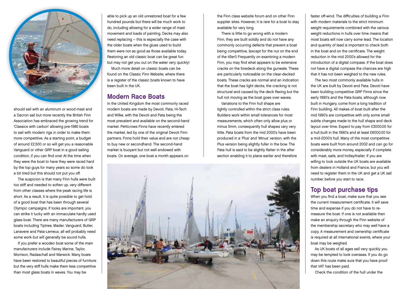

should sail with an aluminum or wood mast and a Dacron sail but more recently the British Finn Association has embraced the growing trend for 'Classics with carbon' allowing pre-1985 boats to sail with modern rigs in order to make them more competitive. As a starting point, a budget of around £2,500 or so will get you a reasonable Vanguard or other GRP boat in a good sailing condition, if you can find one! At the time when they were the boat to have they were raced hard by the top guys for many years so some do look a bit tired but this should not put you off.

The suspicion is that many Finn hulls were built too stiff and needed to soften up, very different from other classes where the peak racing life is short. As a result, it is quite possible to get hold of a good boat that has been through several Olympic campaigns. If looks are important, you can strike it lucky with an immaculate hardly used glass boat. There are many manufacturers of GRP boats including Tiptree, Mader, Vanguard, Butler, Lanavere and Pata-Lemeux, all will probably need some work but will generally be sound hulls.

If you prefer a wooden boat some of the main manufacturers include Fairey Marine, Taylor, Morrison, Radaschall and Warwick. Many boats have been restored to beautiful pieces of furniture but the very stiff hulls make them less competitive than most glass boats in waves. You may be

able to pick up an old unrestored boat for a few hundred pounds but there will be much work to do, including allowing for a wider range of mast movement and loads of painting. Decks may also need replacing – this is especially the case with the older boats when the glues used to build them were not as good as those available today. Restoring an old classic boat can be great fun but may not get you out on the water very quickly!

Much more detail on classic boats can be found on the Classic Finn Website, where there is a register of the classic boats known to have been built in the UK.

#### Modern Race Boats

In the United Kingdom the most commonly raced modern boats are made by Devoti, Pata, Hi-Tech and Wilke, with the Devoti and Pata being the most prevalent and available on the second-hand market. Petticrows Finns have recently entered the market, led by one of the original Devoti Finn partners. Finns hold their value and are not cheap to buy new or secondhand. The second-hand market is buoyant but not well endowed with boats. On average, one boat a month appears on

the Finn class website forum and on other Finn supplier sites. However, it is rare for a boat to stay available for very long.

There is little to go wrong with a modern Finn, they are built solidly and do not have any commonly occurring defects that prevent a boat being competitive, (except for the nut on the end of the tiller!) Frequently on examining a modern Finn, you may find what appears to be extensive cracks on the foredeck along the gunwale. These are particularly noticeable on the clear-decked boats. These cracks are normal and an indication that the boat has light decks, the cracking is not structural and caused by the deck flexing but the hull not moving as the boat goes over waves.

Variations to the Finn hull shape are tightly controlled within the strict class rules. Builders work within small tolerances for most measurements, which often only allow plus or minus 5mm, consequently hull shapes vary very little. Pata boats from the mid 2000's have been produced in a 'Plus' and 'Minus' version, with the Plus version being slightly fuller in the bow. The Pata hull is said to be slightly flatter in the after section enabling it to plane earlier and therefore



faster off-wind. The difficulties of building a Finn with modern materials to the strict minimum weight requirements combined with the various weight reductions in hulls over time means that most boats will now carry some lead. The location and quantity of lead is important to check both in the boat and on the certificate. The weight reduction in the mid 2000's allowed for the introduction of a digital compass. If the boat does not have a digital compass the chances are high that it has not been weighed to the new rules.

The two most commonly available hulls in the UK are built by Devoti and Pata. Devoti have been building competitive GRP Finns since the early 1990's and the Pata boats, although now built in Hungary, come from a long tradition of Finn building. All makes of boat built after the mid 1990's are competitive with only some small subtle changes made to the hull shape and deck layout over time. Expect to pay from £3000.00 for a hull built in the 1990's and at least £6000.00 for a mid-2000's hull. Many of the most competitive boats were built from around 2002 and can go for considerably more money, especially if complete with mast, sails, and trolley/trailer. If you are willing to look outside the UK boats are available from dealers in Holland and France, but you will need to register them in the UK and get a UK sail number before you start to race.

#### Top boat purchase tips

When you find a boat, make sure that you see the current measurement certificate. It will save time and expense if you do not have to remeasure the boat. If one is not available then make an enquiry through the Finn website of the membership secretary who may well have a copy. A measurement and ownership certificate is required at all international events, where your boat may be weighed.

As UK boats of all ages sell very quickly you may be tempted to look overseas. If you do go down this route make sure that you have proof that VAT has been paid.

Check the condition of the hull under the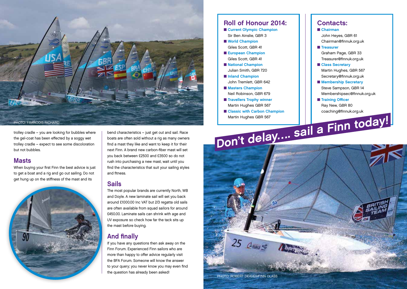

trolley cradle – you are looking for bubbles where the gel-coat has been effected by a soggy wet trolley cradle – expect to see some discoloration but not bubbles.

#### **Masts**

When buying your first Finn the best advice is just to get a boat and a rig and go out sailing. Do not get hung up on the stiffness of the mast and its



bend characteristics – just get out and sail. Race boats are often sold without a rig as many owners find a mast they like and want to keep it for their next Finn. A brand new carbon-fiber mast will set you back between £2500 and £3500 so do not rush into purchasing a new mast, wait until you find the characteristics that suit your sailing styles and fitness.

# Sails

The most popular brands are currently North, WB and Doyle. A new laminate sail will set you back around £1000.00 Inc VAT but 2/3 regatta old sails are often available from squad sailors for around £450.00. Laminate sails can shrink with age and UV exposure so check how far the tack sits up the mast before buying.

# And finally

If you have any questions then ask away on the Finn Forum. Experienced Finn sailors who are more than happy to offer advice regularly visit the BFA Forum. Someone will know the answer to your query; you never know you may even find the question has already been asked!

#### Roll of Honour 2014: ■ Current Olympic Champion Sir Ben Ainslie, GBR 3 ■ World Champion Giles Scott, GBR 41 ■ European Champion Giles Scott, GBR 41 ■ National Champion Julian Smith, GBR 720 ■ Inland Champion John Tremlett, GBR 642 ■ Masters Champion Neil Robinson, GBR 679 ■ Travellers Trophy winner Martin Hughes GBR 567

■ Classic with Carbon Champion Martin Hughes GBR 567 Martin Hughes GBR 567<br>Don't delay…. sail a Finn today!

## Contacts:

■ Chairman John Heyes, GBR 61

- Chairman@finnuk.org.uk
- Treasurer

Graham Page, GBR 33 Treasurer@finnuk.org.uk

- Class Secretary Martin Hughes, GBR 567 Secretary@finnuk.org.uk
- Membership Secretary Steve Sampson, GBR 14

Membershipsec@finnuk.org.uk

- Training Officer
- Ray New, GBR 80 coaching@finnuk.org.uk